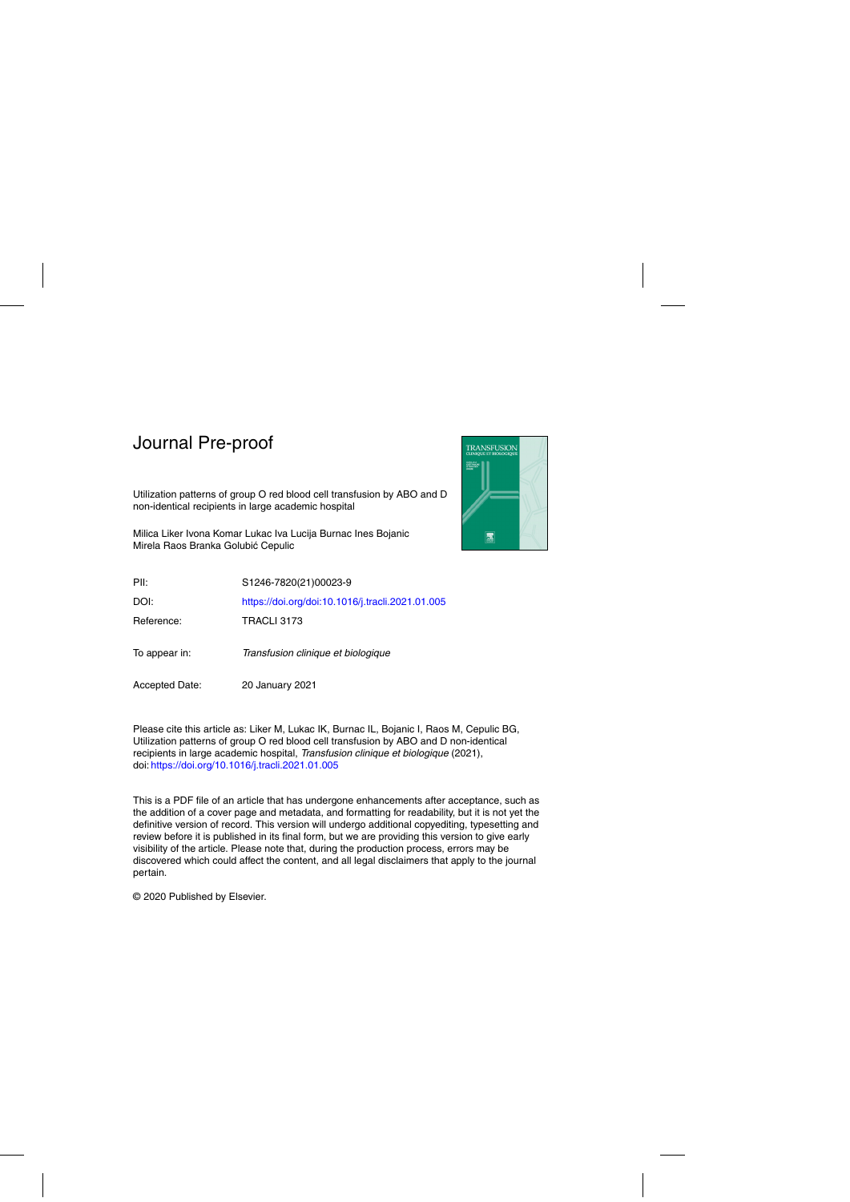

Utilization patterns of group O red blood cell transfusion by ABO and D non-identical recipients in large academic hospital

Milica Liker Ivona Komar Lukac Iva Lucija Burnac Ines Bojanic Mirela Raos Branka Golubić Cepulic

| PII:                  | S1246-7820(21)00023-9                            |
|-----------------------|--------------------------------------------------|
| DOI:                  | https://doi.org/doi:10.1016/j.tracli.2021.01.005 |
| Reference:            | TRACLI 3173                                      |
| To appear in:         | Transfusion clinique et biologique               |
| <b>Accepted Date:</b> | 20 January 2021                                  |

Please cite this article as: Liker M, Lukac IK, Burnac IL, Bojanic I, Raos M, Cepulic BG, Utilization patterns of group O red blood cell transfusion by ABO and D non-identical recipients in large academic hospital, Transfusion clinique et biologique (2021), doi: <https://doi.org/10.1016/j.tracli.2021.01.005>

This is a PDF file of an article that has undergone enhancements after acceptance, such as the addition of a cover page and metadata, and formatting for readability, but it is not yet the definitive version of record. This version will undergo additional copyediting, typesetting and review before it is published in its final form, but we are providing this version to give early visibility of the article. Please note that, during the production process, errors may be discovered which could affect the content, and all legal disclaimers that apply to the journal pertain.

© 2020 Published by Elsevier.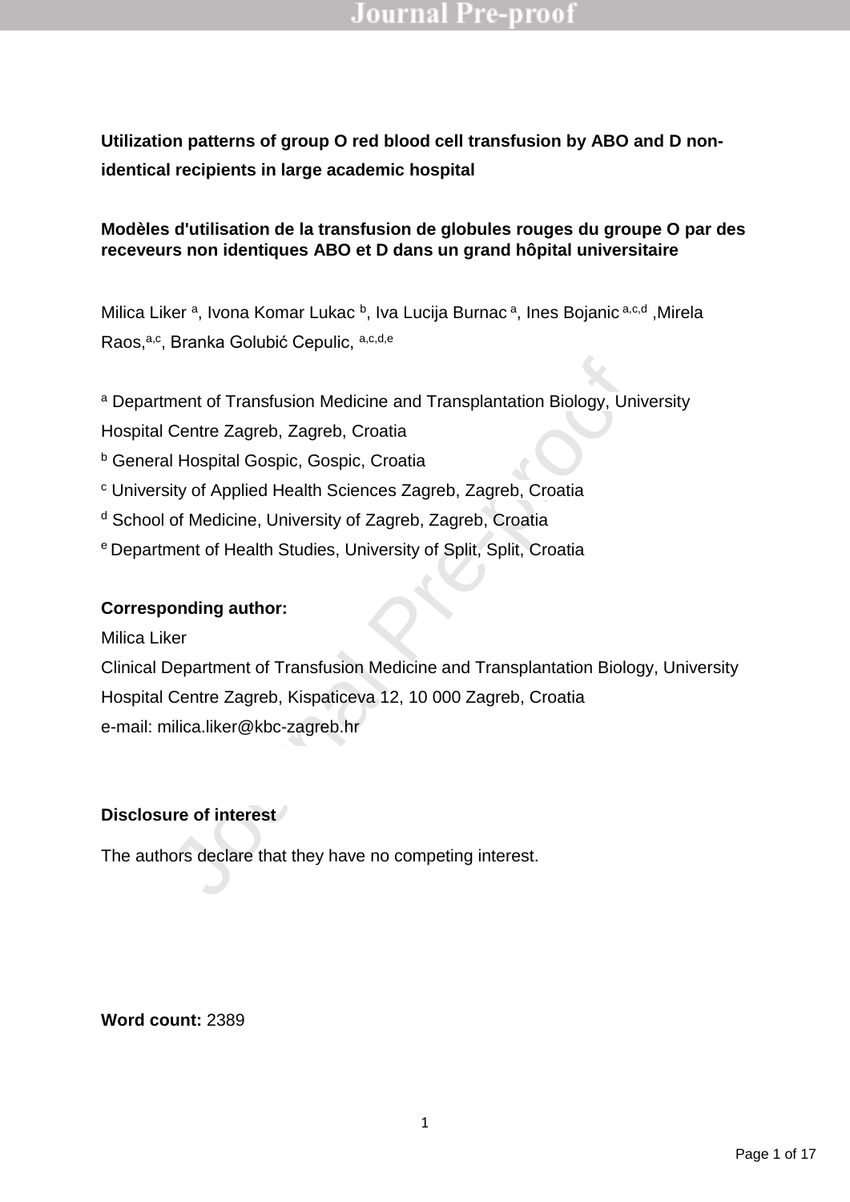### **Utilization patterns of group O red blood cell transfusion by ABO and D nonidentical recipients in large academic hospital**

### **Modèles d'utilisation de la transfusion de globules rouges du groupe O par des receveurs non identiques ABO et D dans un grand hôpital universitaire**

Milica Liker<sup>a</sup>, Ivona Komar Lukac<sup>b</sup>, Iva Lucija Burnac<sup>a</sup>, Ines Bojanic<sup>a,c,d</sup>, Mirela Raos, a,c, Branka Golubić Cepulic, a,c,d,e

<sup>a</sup> Department of Transfusion Medicine and Transplantation Biology, University

Hospital Centre Zagreb, Zagreb, Croatia

**b** General Hospital Gospic, Gospic, Croatia

<sup>c</sup> University of Applied Health Sciences Zagreb, Zagreb, Croatia

<sup>d</sup> School of Medicine, University of Zagreb, Zagreb, Croatia

<sup>e</sup> Department of Health Studies, University of Split, Split, Croatia

### **Corresponding author:**

Milica Liker

ment of Transfusion Medicine and Transplantation Biology, Universite Zagreb, Zagreb, Croatia<br>
Il Hospital Gospic, Gospic, Croatia<br>
il Hospital Gospic, Gospic, Croatia<br>
ity of Applied Health Sciences Zagreb, Zagreb, Croatia Clinical Department of Transfusion Medicine and Transplantation Biology, University Hospital Centre Zagreb, Kispaticeva 12, 10 000 Zagreb, Croatia e-mail: milica.liker@kbc-zagreb.hr

#### **Disclosure of interest**

The authors declare that they have no competing interest.

**Word count:** 2389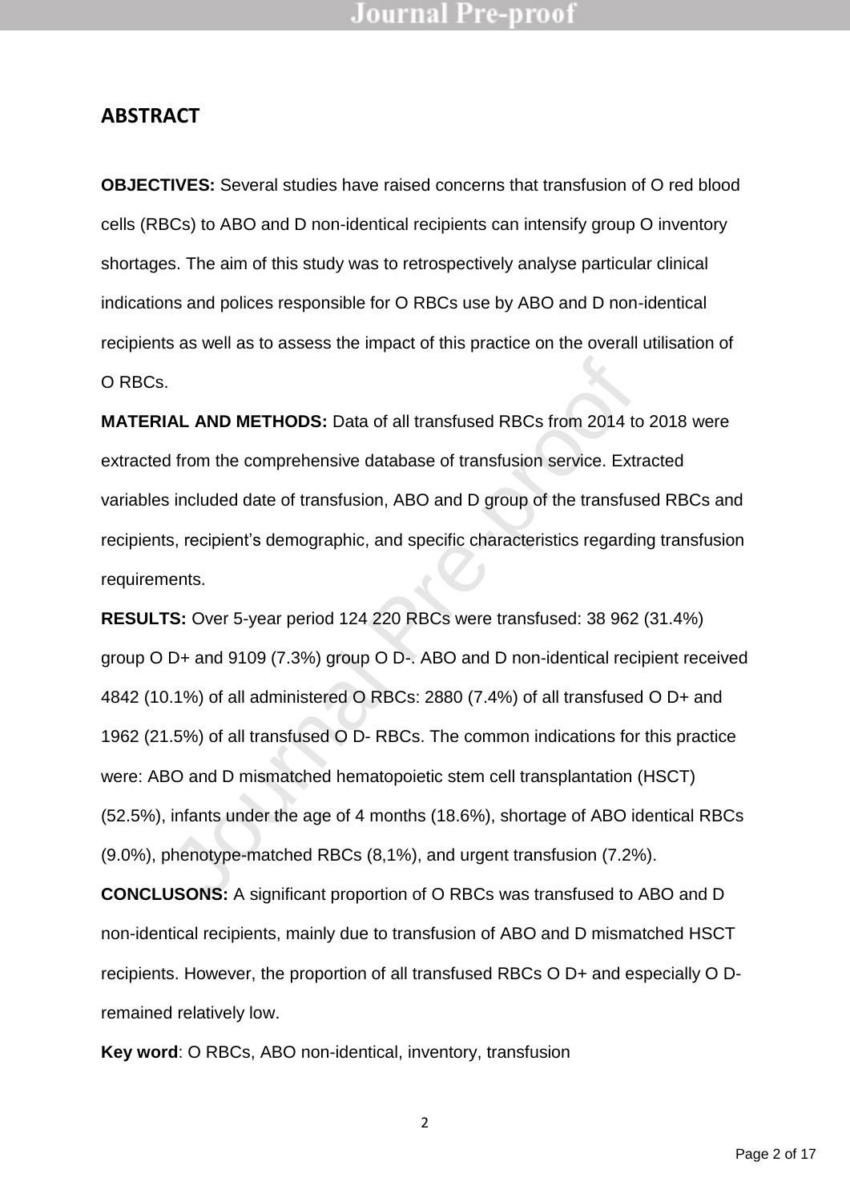### **ABSTRACT**

**OBJECTIVES:** Several studies have raised concerns that transfusion of O red blood cells (RBCs) to ABO and D non-identical recipients can intensify group O inventory shortages. The aim of this study was to retrospectively analyse particular clinical indications and polices responsible for O RBCs use by ABO and D non-identical recipients as well as to assess the impact of this practice on the overall utilisation of O RBCs.

**MATERIAL AND METHODS:** Data of all transfused RBCs from 2014 to 2018 were extracted from the comprehensive database of transfusion service. Extracted variables included date of transfusion, ABO and D group of the transfused RBCs and recipients, recipient's demographic, and specific characteristics regarding transfusion requirements.

**AL AND METHODS:** Data of all transfused RBCs from 2014 to<br>d from the comprehensive database of transfusion service. Extra<br>included date of transfusion, ABO and D group of the transfuse<br>s, recipient's demographic, and spec **RESULTS:** Over 5-year period 124 220 RBCs were transfused: 38 962 (31.4%) group O D+ and 9109 (7.3%) group O D-. ABO and D non-identical recipient received 4842 (10.1%) of all administered O RBCs: 2880 (7.4%) of all transfused O D+ and 1962 (21.5%) of all transfused O D- RBCs. The common indications for this practice were: ABO and D mismatched hematopoietic stem cell transplantation (HSCT) (52.5%), infants under the age of 4 months (18.6%), shortage of ABO identical RBCs (9.0%), phenotype-matched RBCs (8,1%), and urgent transfusion (7.2%).

**CONCLUSONS:** A significant proportion of O RBCs was transfused to ABO and D non-identical recipients, mainly due to transfusion of ABO and D mismatched HSCT recipients. However, the proportion of all transfused RBCs O D+ and especially O Dremained relatively low.

**Key word**: O RBCs, ABO non-identical, inventory, transfusion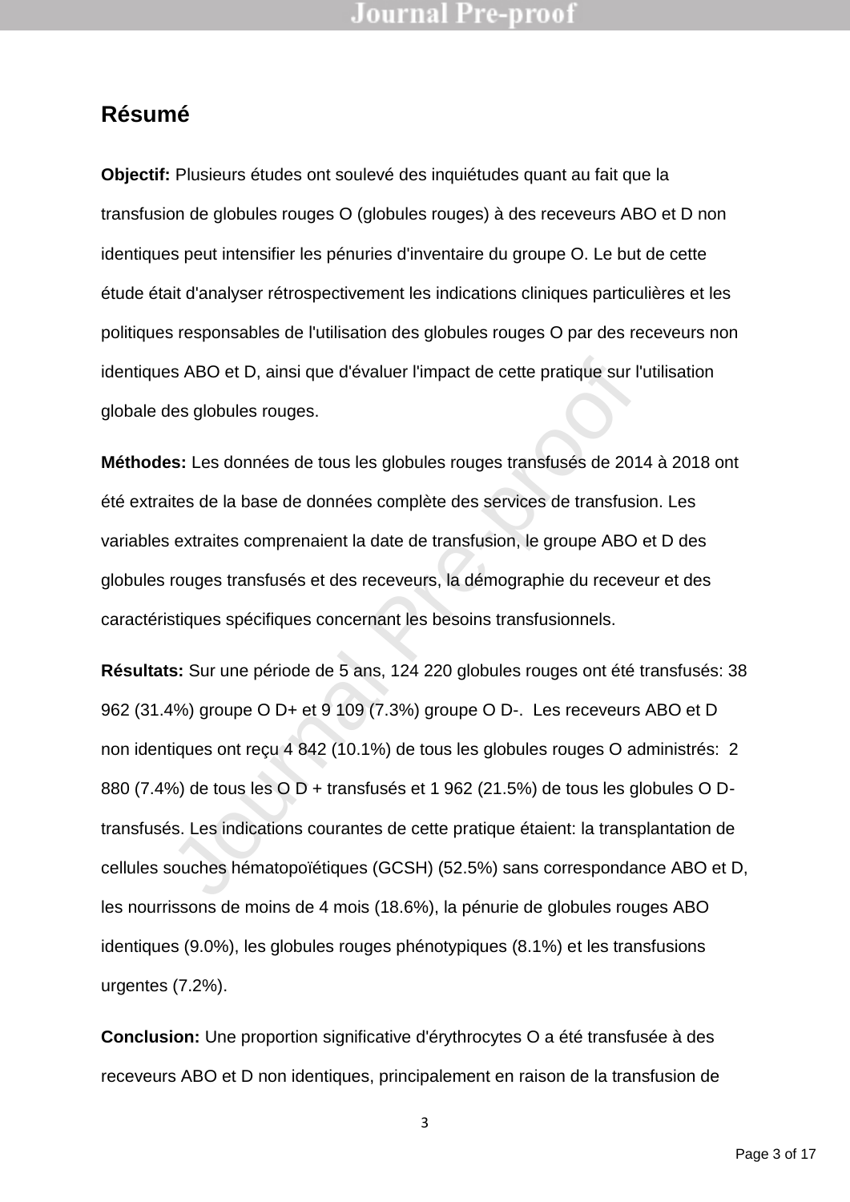### **Résumé**

**Objectif:** Plusieurs études ont soulevé des inquiétudes quant au fait que la transfusion de globules rouges O (globules rouges) à des receveurs ABO et D non identiques peut intensifier les pénuries d'inventaire du groupe O. Le but de cette étude était d'analyser rétrospectivement les indications cliniques particulières et les politiques responsables de l'utilisation des globules rouges O par des receveurs non identiques ABO et D, ainsi que d'évaluer l'impact de cette pratique sur l'utilisation globale des globules rouges.

**Méthodes:** Les données de tous les globules rouges transfusés de 2014 à 2018 ont été extraites de la base de données complète des services de transfusion. Les variables extraites comprenaient la date de transfusion, le groupe ABO et D des globules rouges transfusés et des receveurs, la démographie du receveur et des caractéristiques spécifiques concernant les besoins transfusionnels.

Sa ABO et D, ainsi que d'évaluer l'impact de cette pratique sur l'une des globules rouges.<br>
Solicies de la base de données complète des services de transfusions de la base de données complète des services de transfusions e **Résultats:** Sur une période de 5 ans, 124 220 globules rouges ont été transfusés: 38 962 (31.4%) groupe O D+ et 9 109 (7.3%) groupe O D-. Les receveurs ABO et D non identiques ont reçu 4 842 (10.1%) de tous les globules rouges O administrés: 2 880 (7.4%) de tous les O D + transfusés et 1 962 (21.5%) de tous les globules O Dtransfusés. Les indications courantes de cette pratique étaient: la transplantation de cellules souches hématopoïétiques (GCSH) (52.5%) sans correspondance ABO et D, les nourrissons de moins de 4 mois (18.6%), la pénurie de globules rouges ABO identiques (9.0%), les globules rouges phénotypiques (8.1%) et les transfusions urgentes (7.2%).

**Conclusion:** Une proportion significative d'érythrocytes O a été transfusée à des receveurs ABO et D non identiques, principalement en raison de la transfusion de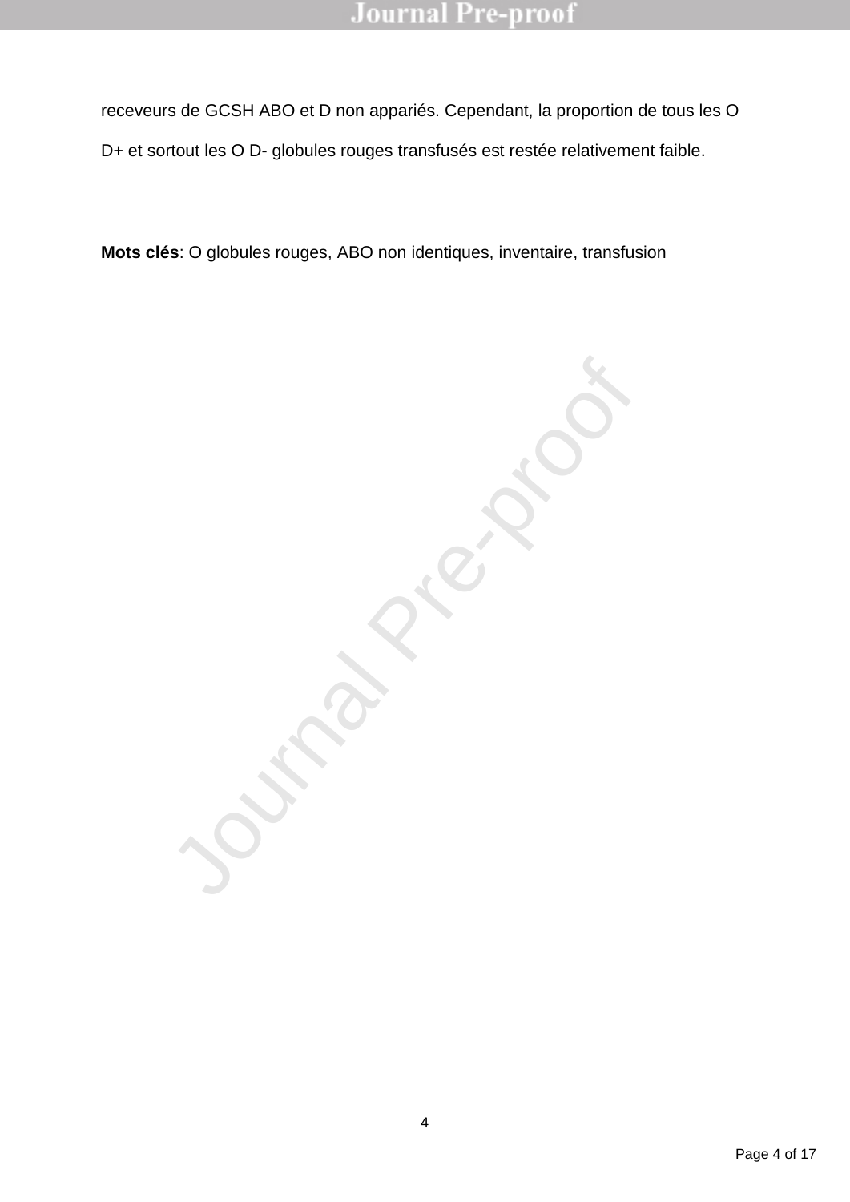receveurs de GCSH ABO et D non appariés. Cependant, la proportion de tous les O D+ et sortout les O D- globules rouges transfusés est restée relativement faible.

**Mots clés**: O globules rouges, ABO non identiques, inventaire, transfusion

Journal Pre-proof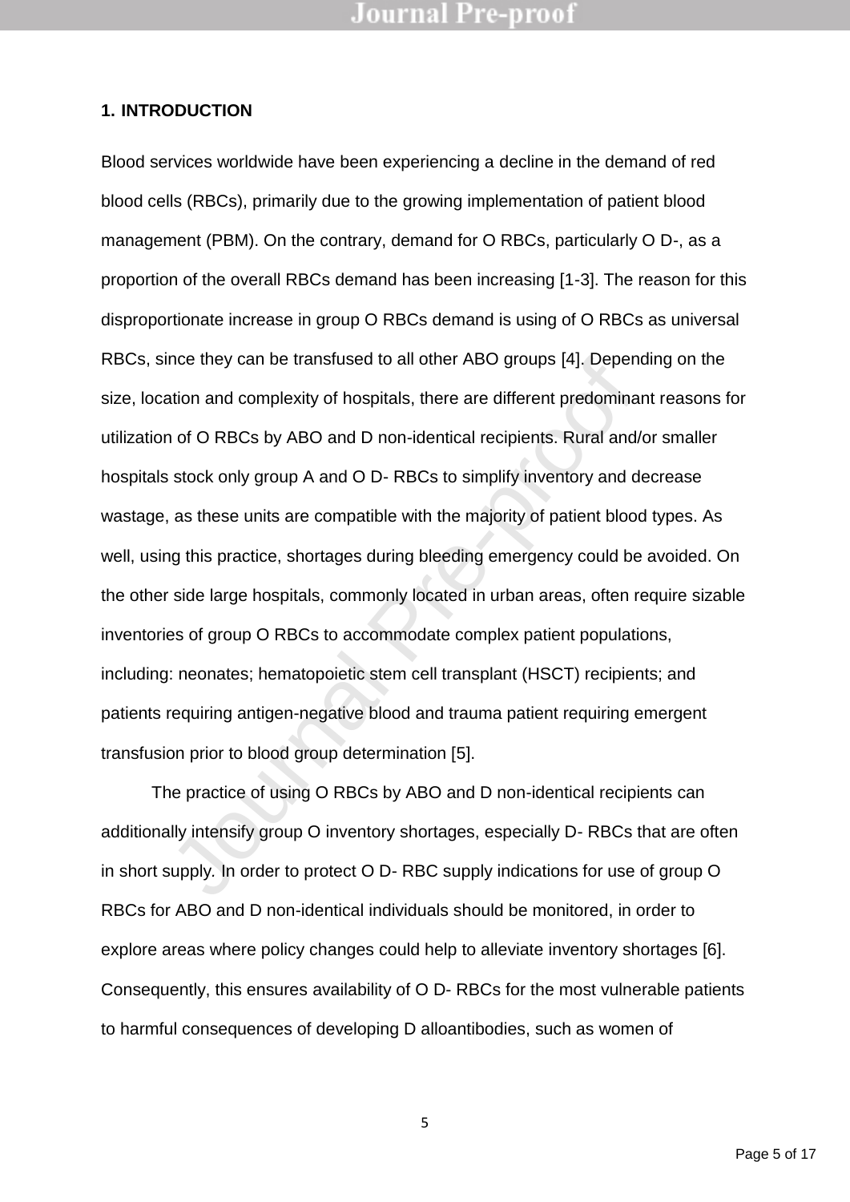#### **1. INTRODUCTION**

nce they can be transfused to all other ABO groups [4]. Dependention and complexity of hospitals, there are different predominar n of O RBCs by ABO and D non-identical recipients. Rural and/of stock only group A and O D- R Blood services worldwide have been experiencing a decline in the demand of red blood cells (RBCs), primarily due to the growing implementation of patient blood management (PBM). On the contrary, demand for O RBCs, particularly O D-, as a proportion of the overall RBCs demand has been increasing [1-3]. The reason for this disproportionate increase in group O RBCs demand is using of O RBCs as universal RBCs, since they can be transfused to all other ABO groups [4]. Depending on the size, location and complexity of hospitals, there are different predominant reasons for utilization of O RBCs by ABO and D non-identical recipients. Rural and/or smaller hospitals stock only group A and O D- RBCs to simplify inventory and decrease wastage, as these units are compatible with the majority of patient blood types. As well, using this practice, shortages during bleeding emergency could be avoided. On the other side large hospitals, commonly located in urban areas, often require sizable inventories of group O RBCs to accommodate complex patient populations, including: neonates; hematopoietic stem cell transplant (HSCT) recipients; and patients requiring antigen-negative blood and trauma patient requiring emergent transfusion prior to blood group determination [5].

The practice of using O RBCs by ABO and D non-identical recipients can additionally intensify group O inventory shortages, especially D- RBCs that are often in short supply*.* In order to protect O D- RBC supply indications for use of group O RBCs for ABO and D non-identical individuals should be monitored, in order to explore areas where policy changes could help to alleviate inventory shortages [6]. Consequently, this ensures availability of O D- RBCs for the most vulnerable patients to harmful consequences of developing D alloantibodies, such as women of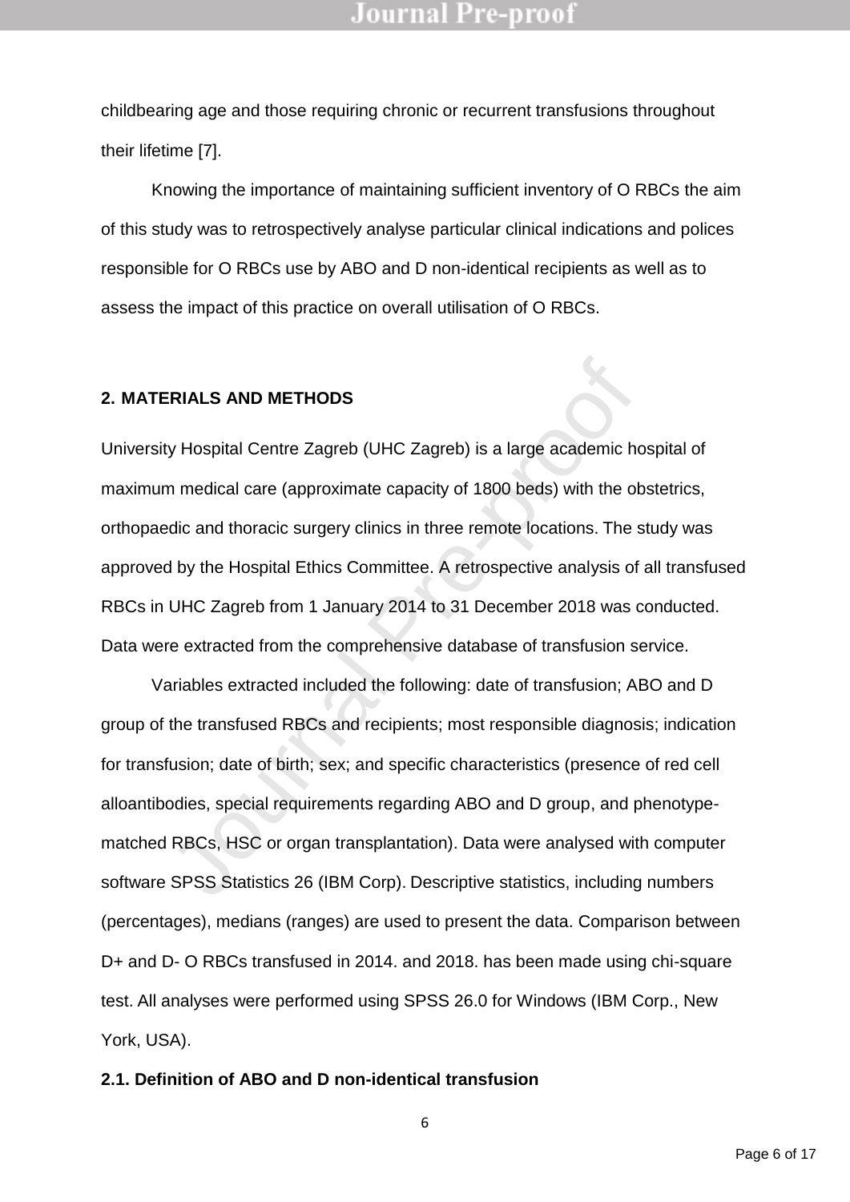childbearing age and those requiring chronic or recurrent transfusions throughout their lifetime [7].

Knowing the importance of maintaining sufficient inventory of O RBCs the aim of this study was to retrospectively analyse particular clinical indications and polices responsible for O RBCs use by ABO and D non-identical recipients as well as to assess the impact of this practice on overall utilisation of O RBCs.

### **2. MATERIALS AND METHODS**

University Hospital Centre Zagreb (UHC Zagreb) is a large academic hospital of maximum medical care (approximate capacity of 1800 beds) with the obstetrics, orthopaedic and thoracic surgery clinics in three remote locations. The study was approved by the Hospital Ethics Committee. A retrospective analysis of all transfused RBCs in UHC Zagreb from 1 January 2014 to 31 December 2018 was conducted. Data were extracted from the comprehensive database of transfusion service.

FINALS AND METHODS<br>y Hospital Centre Zagreb (UHC Zagreb) is a large academic ho<br>n medical care (approximate capacity of 1800 beds) with the ob<br>dic and thoracic surgery clinics in three remote locations. The s<br>d by the Hosp Variables extracted included the following: date of transfusion; ABO and D group of the transfused RBCs and recipients; most responsible diagnosis; indication for transfusion; date of birth; sex; and specific characteristics (presence of red cell alloantibodies, special requirements regarding ABO and D group, and phenotypematched RBCs, HSC or organ transplantation). Data were analysed with computer software SPSS Statistics 26 (IBM Corp). Descriptive statistics, including numbers (percentages), medians (ranges) are used to present the data. Comparison between D+ and D- O RBCs transfused in 2014. and 2018. has been made using chi-square test. All analyses were performed using SPSS 26.0 for Windows (IBM Corp., New York, USA).

#### **2.1. Definition of ABO and D non-identical transfusion**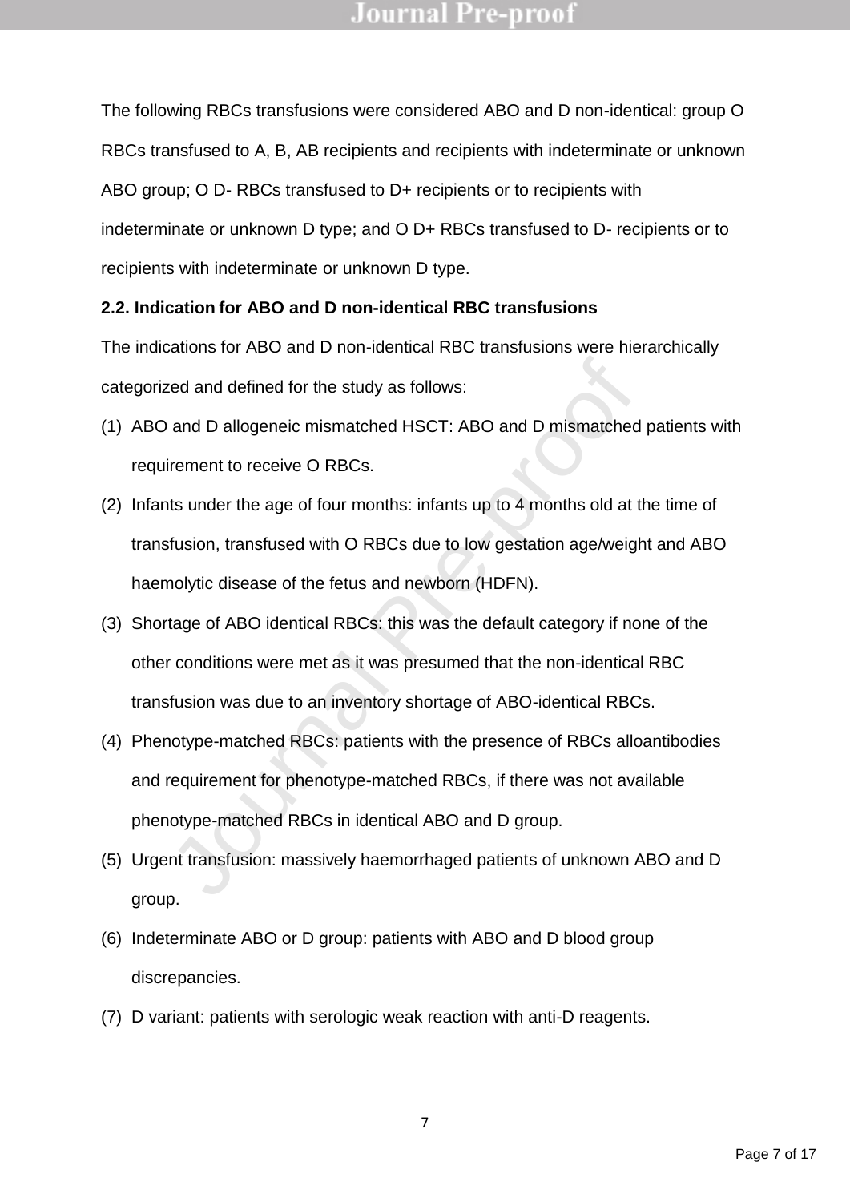The following RBCs transfusions were considered ABO and D non-identical: group O RBCs transfused to A, B, AB recipients and recipients with indeterminate or unknown ABO group; O D- RBCs transfused to D+ recipients or to recipients with indeterminate or unknown D type; and O D+ RBCs transfused to D- recipients or to recipients with indeterminate or unknown D type.

#### **2.2. Indication for ABO and D non-identical RBC transfusions**

The indications for ABO and D non-identical RBC transfusions were hierarchically categorized and defined for the study as follows:

- (1) ABO and D allogeneic mismatched HSCT: ABO and D mismatched patients with requirement to receive O RBCs.
- red and defined for the study as follows:<br>
and D allogeneic mismatched HSCT: ABO and D mismatched<br>
irement to receive O RBCs.<br>
Its under the age of four months: infants up to 4 months old at the<br>
studion, transfused with O (2) Infants under the age of four months: infants up to 4 months old at the time of transfusion, transfused with O RBCs due to low gestation age/weight and ABO haemolytic disease of the fetus and newborn (HDFN).
- (3) Shortage of ABO identical RBCs: this was the default category if none of the other conditions were met as it was presumed that the non-identical RBC transfusion was due to an inventory shortage of ABO-identical RBCs.
- (4) Phenotype-matched RBCs: patients with the presence of RBCs alloantibodies and requirement for phenotype-matched RBCs, if there was not available phenotype-matched RBCs in identical ABO and D group.
- (5) Urgent transfusion: massively haemorrhaged patients of unknown ABO and D group.
- (6) Indeterminate ABO or D group: patients with ABO and D blood group discrepancies.
- (7) D variant: patients with serologic weak reaction with anti-D reagents.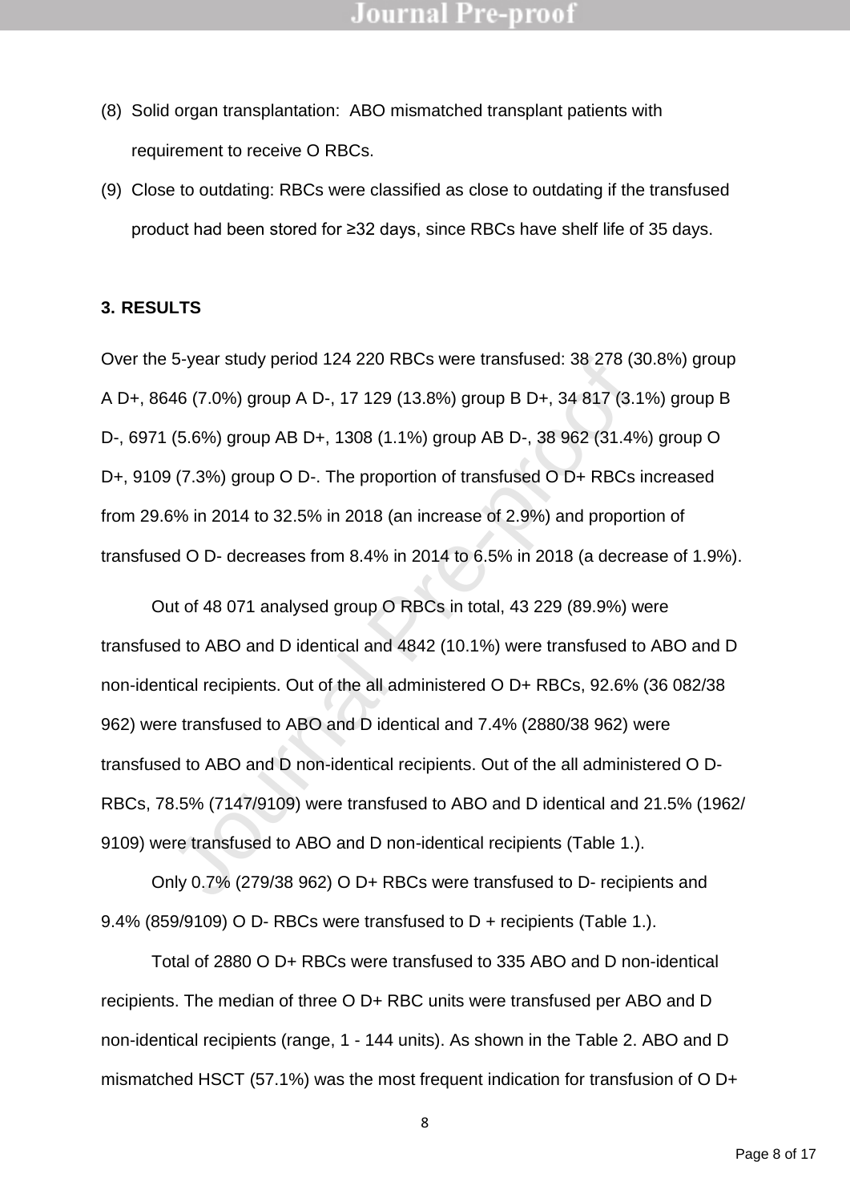- (8) Solid organ transplantation: ABO mismatched transplant patients with requirement to receive O RBCs.
- (9) Close to outdating: RBCs were classified as close to outdating if the transfused product had been stored for ≥32 days, since RBCs have shelf life of 35 days.

### **3. RESULTS**

Over the 5-year study period 124 220 RBCs were transfused: 38 278 (30.8%) group A D+, 8646 (7.0%) group A D-, 17 129 (13.8%) group B D+, 34 817 (3.1%) group B D-, 6971 (5.6%) group AB D+, 1308 (1.1%) group AB D-, 38 962 (31.4%) group O D+, 9109 (7.3%) group O D-. The proportion of transfused O D+ RBCs increased from 29.6% in 2014 to 32.5% in 2018 (an increase of 2.9%) and proportion of transfused O D- decreases from 8.4% in 2014 to 6.5% in 2018 (a decrease of 1.9%).

5-year study period 124 220 RBCs were transtused: 38 278 (31<br>46 (7.0%) group A D-, 17 129 (13.8%) group B D+, 34 817 (3.1<br>(5.6%) group AB D+, 1308 (1.1%) group AB D-, 38 962 (31.4%)<br>7.3%) group O D-. The proportion of tran Out of 48 071 analysed group O RBCs in total, 43 229 (89.9%) were transfused to ABO and D identical and 4842 (10.1%) were transfused to ABO and D non-identical recipients. Out of the all administered O D+ RBCs, 92.6% (36 082/38 962) were transfused to ABO and D identical and 7.4% (2880/38 962) were transfused to ABO and D non-identical recipients. Out of the all administered O D-RBCs, 78.5% (7147/9109) were transfused to ABO and D identical and 21.5% (1962/ 9109) were transfused to ABO and D non-identical recipients (Table 1.).

Only 0.7% (279/38 962) O D+ RBCs were transfused to D- recipients and 9.4% (859/9109) O D- RBCs were transfused to D + recipients (Table 1.).

Total of 2880 O D+ RBCs were transfused to 335 ABO and D non-identical recipients. The median of three O D+ RBC units were transfused per ABO and D non-identical recipients (range, 1 - 144 units). As shown in the Table 2. ABO and D mismatched HSCT (57.1%) was the most frequent indication for transfusion of O D+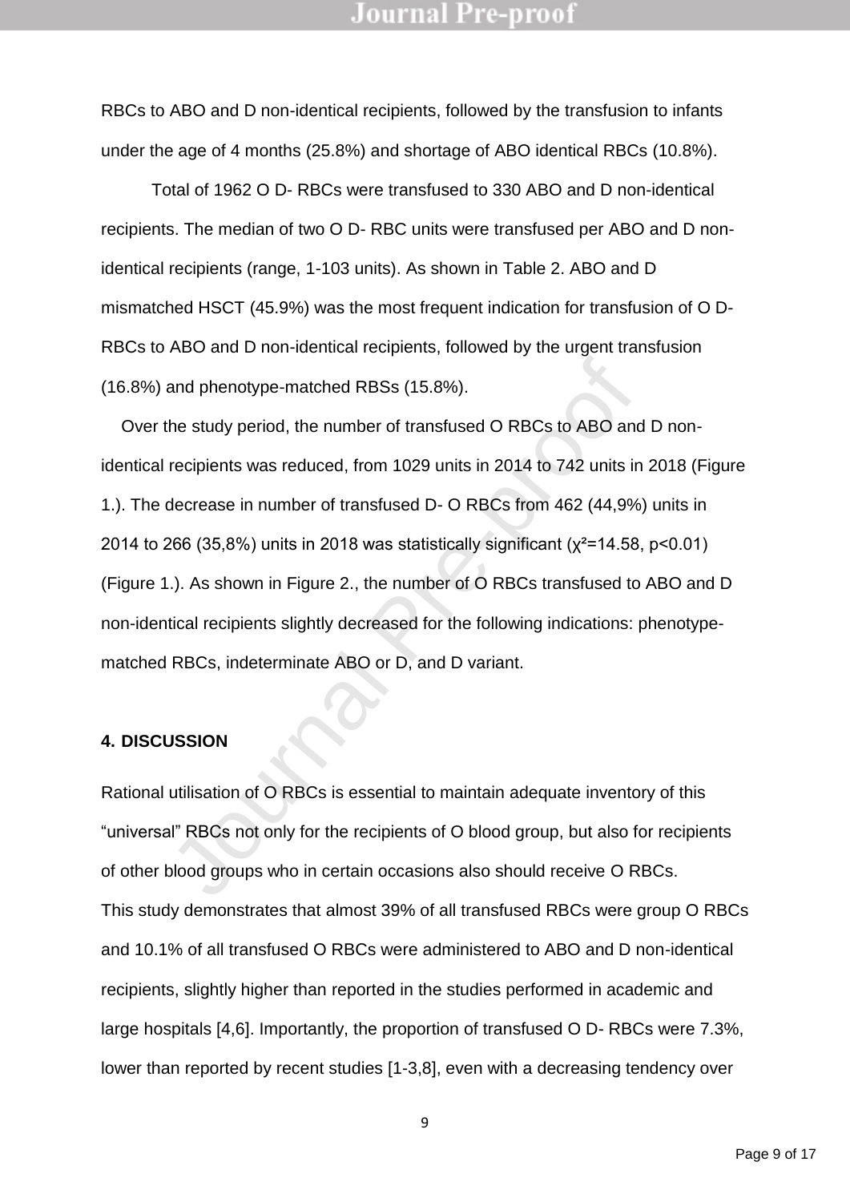RBCs to ABO and D non-identical recipients, followed by the transfusion to infants under the age of 4 months (25.8%) and shortage of ABO identical RBCs (10.8%).

Total of 1962 O D- RBCs were transfused to 330 ABO and D non-identical recipients. The median of two O D- RBC units were transfused per ABO and D nonidentical recipients (range, 1-103 units). As shown in Table 2. ABO and D mismatched HSCT (45.9%) was the most frequent indication for transfusion of O D-RBCs to ABO and D non-identical recipients, followed by the urgent transfusion (16.8%) and phenotype-matched RBSs (15.8%).

and phenotype-matched RBSs (15.8%).<br>
The study period, the number of transfused O RBCs to ABO and<br>
recipients was reduced, from 1029 units in 2014 to 742 units in<br>
decrease in number of transfused D- O RBCs from 462 (44,9% Over the study period, the number of transfused O RBCs to ABO and D nonidentical recipients was reduced, from 1029 units in 2014 to 742 units in 2018 (Figure 1.). The decrease in number of transfused D- O RBCs from 462 (44,9%) units in 2014 to 266 (35,8%) units in 2018 was statistically significant ( $x^2$ =14.58, p<0.01) (Figure 1.). As shown in Figure 2., the number of O RBCs transfused to ABO and D non-identical recipients slightly decreased for the following indications: phenotypematched RBCs, indeterminate ABO or D, and D variant.

#### **4. DISCUSSION**

Rational utilisation of O RBCs is essential to maintain adequate inventory of this "universal" RBCs not only for the recipients of O blood group, but also for recipients of other blood groups who in certain occasions also should receive O RBCs. This study demonstrates that almost 39% of all transfused RBCs were group O RBCs and 10.1% of all transfused O RBCs were administered to ABO and D non-identical recipients, slightly higher than reported in the studies performed in academic and large hospitals [4,6]. Importantly, the proportion of transfused O D- RBCs were 7.3%, lower than reported by recent studies [1-3,8], even with a decreasing tendency over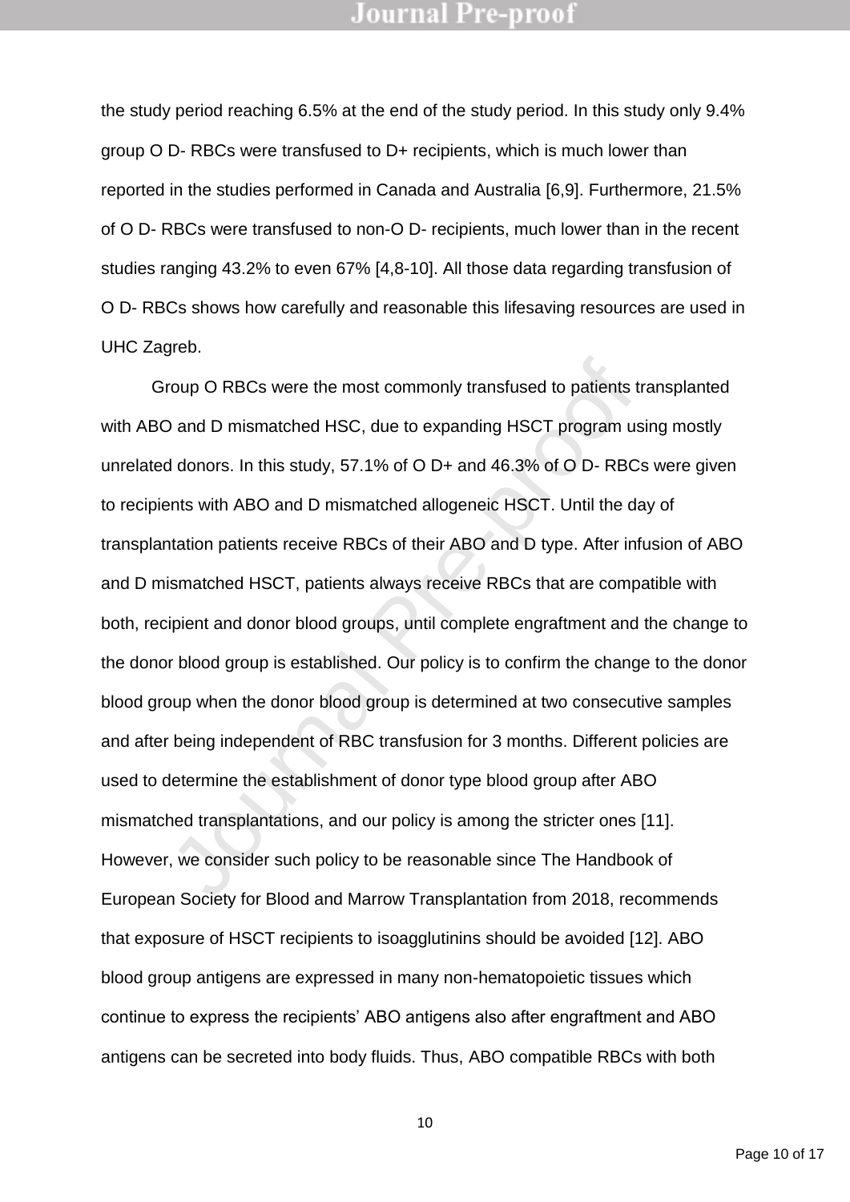the study period reaching 6.5% at the end of the study period. In this study only 9.4% group O D- RBCs were transfused to D+ recipients, which is much lower than reported in the studies performed in Canada and Australia [6,9]. Furthermore, 21.5% of O D- RBCs were transfused to non-O D- recipients, much lower than in the recent studies ranging 43.2% to even 67% [4,8-10]. All those data regarding transfusion of O D- RBCs shows how carefully and reasonable this lifesaving resources are used in UHC Zagreb.

The Union of RBCs were the most commonly transfused to patients tready<br>of the D and D mismatched HSC, due to expanding HSCT program us<br>d donors. In this study, 57.1% of O D+ and 46.3% of O D- RBCs<br>ents with ABO and D misma Group O RBCs were the most commonly transfused to patients transplanted with ABO and D mismatched HSC, due to expanding HSCT program using mostly unrelated donors. In this study, 57.1% of O D+ and 46.3% of O D- RBCs were given to recipients with ABO and D mismatched allogeneic HSCT. Until the day of transplantation patients receive RBCs of their ABO and D type. After infusion of ABO and D mismatched HSCT, patients always receive RBCs that are compatible with both, recipient and donor blood groups, until complete engraftment and the change to the donor blood group is established. Our policy is to confirm the change to the donor blood group when the donor blood group is determined at two consecutive samples and after being independent of RBC transfusion for 3 months. Different policies are used to determine the establishment of donor type blood group after ABO mismatched transplantations, and our policy is among the stricter ones [11]. However, we consider such policy to be reasonable since The Handbook of European Society for Blood and Marrow Transplantation from 2018, recommends that exposure of HSCT recipients to isoagglutinins should be avoided [12]. ABO blood group antigens are expressed in many non-hematopoietic tissues which continue to express the recipients' ABO antigens also after engraftment and ABO antigens can be secreted into body fluids. Thus, ABO compatible RBCs with both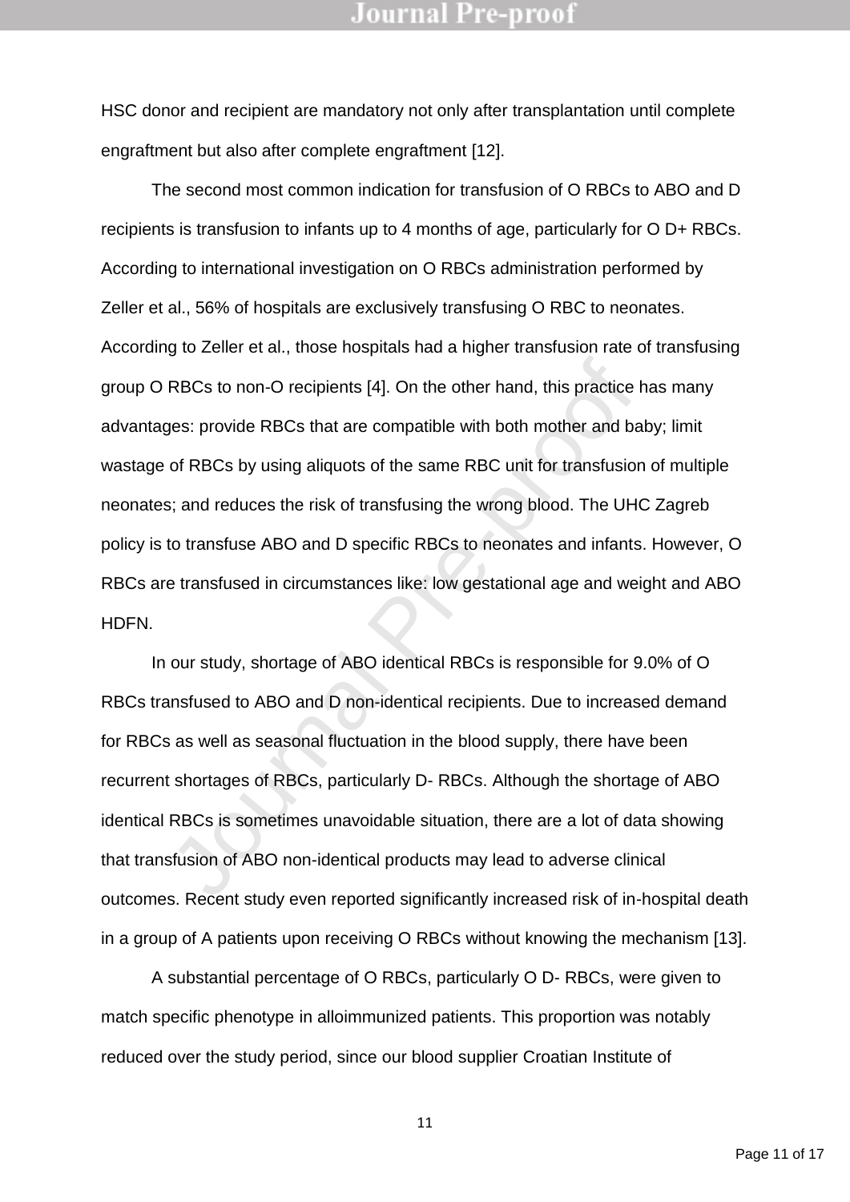HSC donor and recipient are mandatory not only after transplantation until complete engraftment but also after complete engraftment [12].

PRECs to non-O recipients [4]. On the other hand, this practice has provide RBCs that are compatible with both mother and ball of RBCs by using aliquots of the same RBC unit for transfusion of RBCs by using aliquots of the The second most common indication for transfusion of O RBCs to ABO and D recipients is transfusion to infants up to 4 months of age, particularly for O D+ RBCs. According to international investigation on O RBCs administration performed by Zeller et al., 56% of hospitals are exclusively transfusing O RBC to neonates. According to Zeller et al., those hospitals had a higher transfusion rate of transfusing group O RBCs to non-O recipients [4]. On the other hand, this practice has many advantages: provide RBCs that are compatible with both mother and baby; limit wastage of RBCs by using aliquots of the same RBC unit for transfusion of multiple neonates; and reduces the risk of transfusing the wrong blood. The UHC Zagreb policy is to transfuse ABO and D specific RBCs to neonates and infants. However, O RBCs are transfused in circumstances like: low gestational age and weight and ABO HDFN.

In our study, shortage of ABO identical RBCs is responsible for 9.0% of O RBCs transfused to ABO and D non-identical recipients. Due to increased demand for RBCs as well as seasonal fluctuation in the blood supply, there have been recurrent shortages of RBCs, particularly D- RBCs. Although the shortage of ABO identical RBCs is sometimes unavoidable situation, there are a lot of data showing that transfusion of ABO non-identical products may lead to adverse clinical outcomes. Recent study even reported significantly increased risk of in-hospital death in a group of A patients upon receiving O RBCs without knowing the mechanism [13].

A substantial percentage of O RBCs, particularly O D- RBCs, were given to match specific phenotype in alloimmunized patients. This proportion was notably reduced over the study period, since our blood supplier Croatian Institute of

Page 11 of 17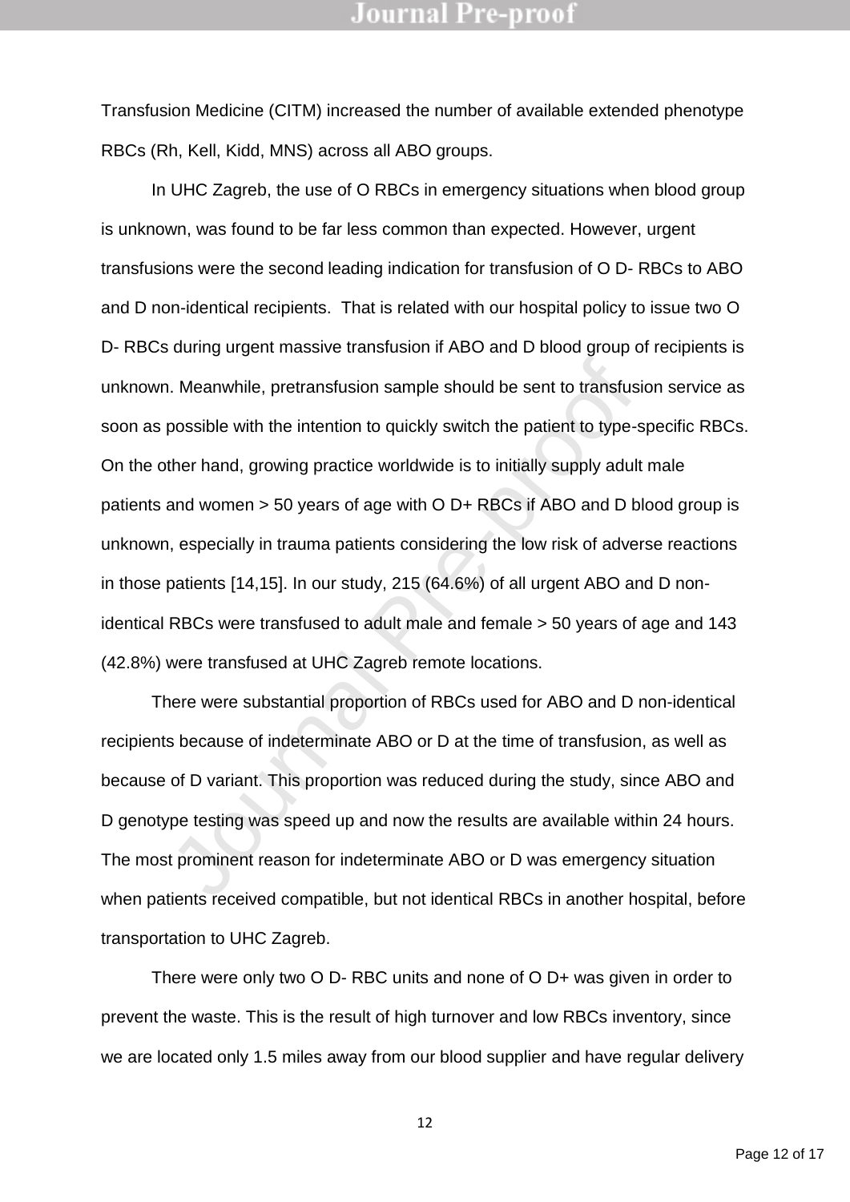Transfusion Medicine (CITM) increased the number of available extended phenotype RBCs (Rh, Kell, Kidd, MNS) across all ABO groups.

1. Meanwhile, pretransfusion sample should be sent to transfusion<br>possible with the intention to quickly switch the patient to type-s<br>ther hand, growing practice worldwide is to initially supply adult<br>and women > 50 years In UHC Zagreb, the use of O RBCs in emergency situations when blood group is unknown, was found to be far less common than expected. However, urgent transfusions were the second leading indication for transfusion of O D- RBCs to ABO and D non-identical recipients. That is related with our hospital policy to issue two O D- RBCs during urgent massive transfusion if ABO and D blood group of recipients is unknown. Meanwhile, pretransfusion sample should be sent to transfusion service as soon as possible with the intention to quickly switch the patient to type-specific RBCs. On the other hand, growing practice worldwide is to initially supply adult male patients and women > 50 years of age with O D+ RBCs if ABO and D blood group is unknown, especially in trauma patients considering the low risk of adverse reactions in those patients [14,15]. In our study, 215 (64.6%) of all urgent ABO and D nonidentical RBCs were transfused to adult male and female > 50 years of age and 143 (42.8%) were transfused at UHC Zagreb remote locations.

There were substantial proportion of RBCs used for ABO and D non-identical recipients because of indeterminate ABO or D at the time of transfusion, as well as because of D variant. This proportion was reduced during the study, since ABO and D genotype testing was speed up and now the results are available within 24 hours. The most prominent reason for indeterminate ABO or D was emergency situation when patients received compatible, but not identical RBCs in another hospital, before transportation to UHC Zagreb.

There were only two O D- RBC units and none of O D+ was given in order to prevent the waste. This is the result of high turnover and low RBCs inventory, since we are located only 1.5 miles away from our blood supplier and have regular delivery

Page 12 of 17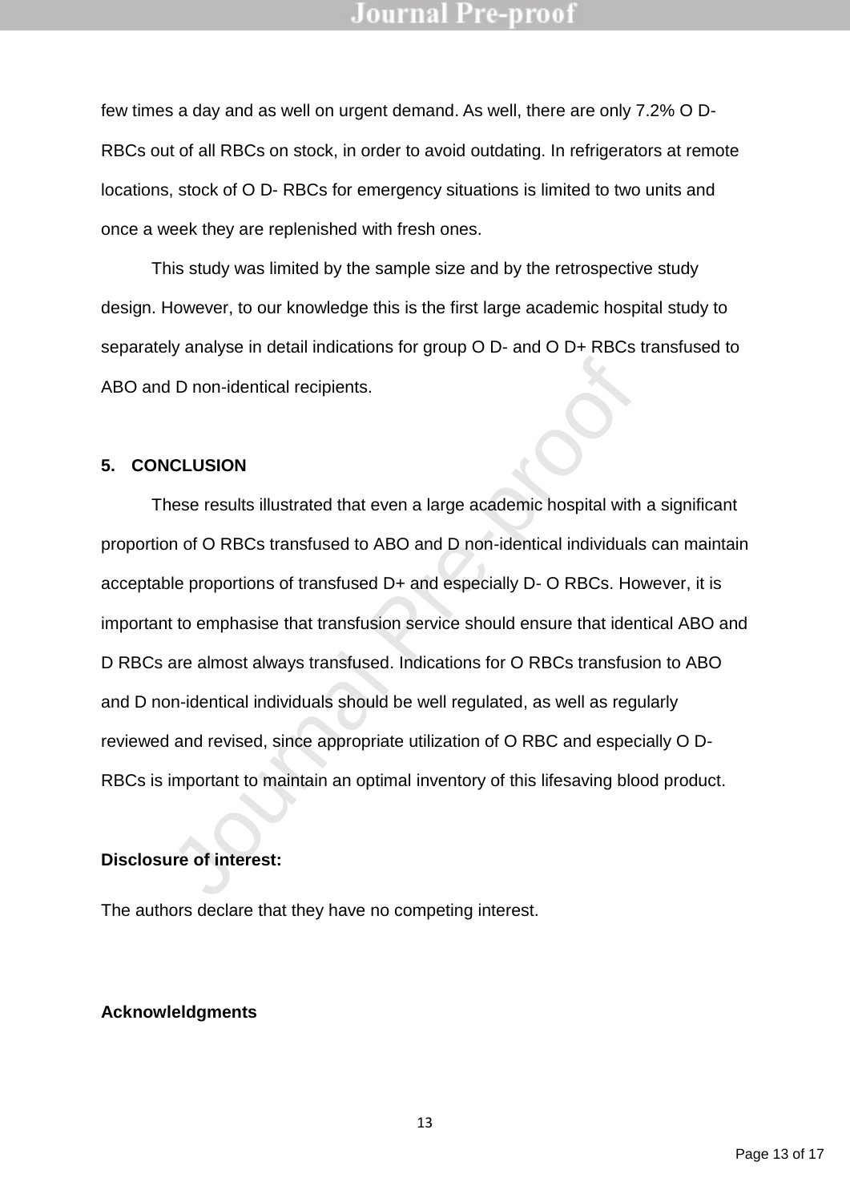few times a day and as well on urgent demand. As well, there are only 7.2% O D-RBCs out of all RBCs on stock, in order to avoid outdating. In refrigerators at remote locations, stock of O D- RBCs for emergency situations is limited to two units and once a week they are replenished with fresh ones.

This study was limited by the sample size and by the retrospective study design. However, to our knowledge this is the first large academic hospital study to separately analyse in detail indications for group O D- and O D+ RBCs transfused to ABO and D non-identical recipients.

#### **5. CONCLUSION**

J D non-identical recipients.<br>
ICLUSION<br>
ICLUSION<br>
INDERTIGNATION<br>
INTERT AND AND A LOT A LOT AND A LOT AND A LOT AND A LOT A LOT AND A LOT A LOT AND A LOT A LOT AND A LOT A LOT A LOT A LOT A LOT A LOT A LOT A LOT A LOT AN These results illustrated that even a large academic hospital with a significant proportion of O RBCs transfused to ABO and D non-identical individuals can maintain acceptable proportions of transfused D+ and especially D- O RBCs. However, it is important to emphasise that transfusion service should ensure that identical ABO and D RBCs are almost always transfused. Indications for O RBCs transfusion to ABO and D non-identical individuals should be well regulated, as well as regularly reviewed and revised, since appropriate utilization of O RBC and especially O D-RBCs is important to maintain an optimal inventory of this lifesaving blood product.

### **Disclosure of interest:**

The authors declare that they have no competing interest.

### **Acknowleldgments**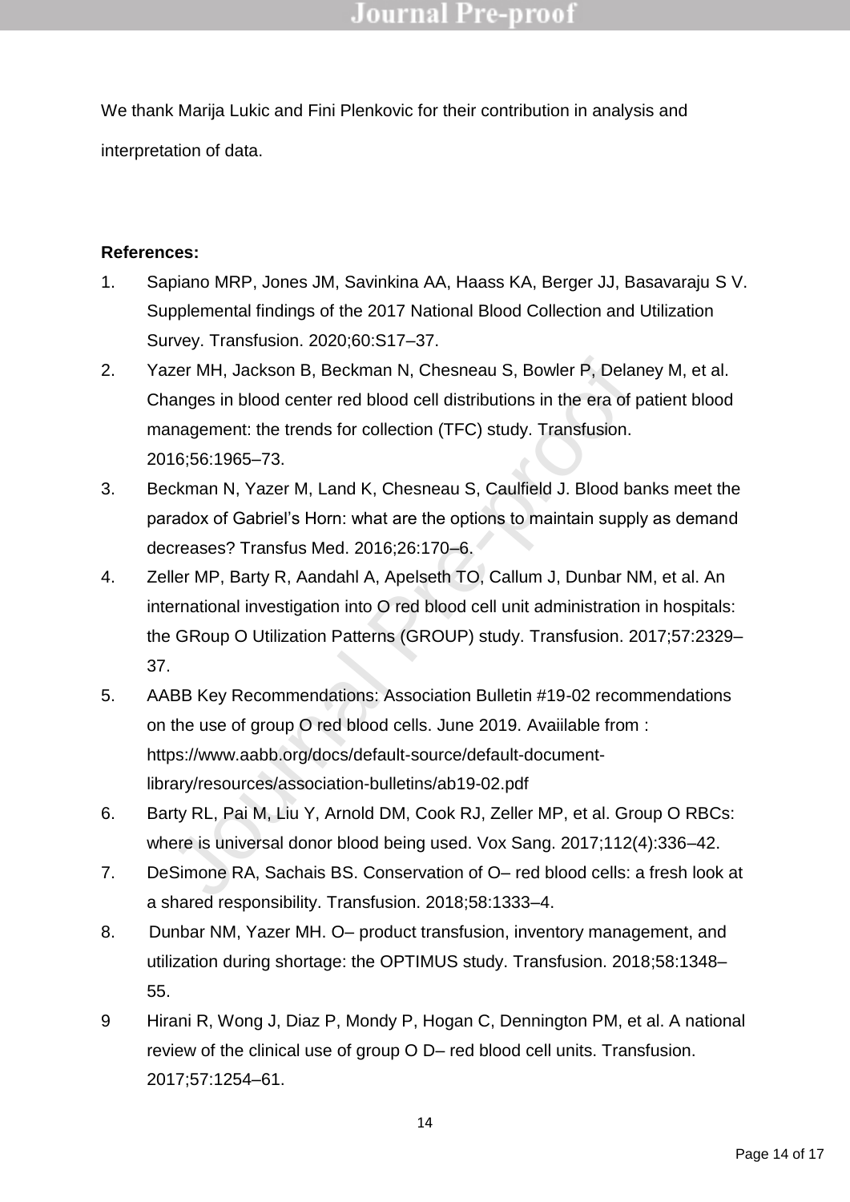We thank Marija Lukic and Fini Plenkovic for their contribution in analysis and interpretation of data.

### **References:**

- 1. Sapiano MRP, Jones JM, Savinkina AA, Haass KA, Berger JJ, Basavaraju S V. Supplemental findings of the 2017 National Blood Collection and Utilization Survey. Transfusion. 2020;60:S17–37.
- 2. Yazer MH, Jackson B, Beckman N, Chesneau S, Bowler P, Delaney M, et al. Changes in blood center red blood cell distributions in the era of patient blood management: the trends for collection (TFC) study. Transfusion. 2016;56:1965–73.
- 3. Beckman N, Yazer M, Land K, Chesneau S, Caulfield J. Blood banks meet the paradox of Gabriel's Horn: what are the options to maintain supply as demand decreases? Transfus Med. 2016;26:170–6.
- zer MH, Jackson B, Beckman N, Chesneau S, Bowler P, Delan<br>anges in blood center red blood cell distributions in the era of p<br>anagement: the trends for collection (TFC) study. Transfusion.<br>16;56:1965–73.<br>ckman N, Yazer M, L 4. Zeller MP, Barty R, Aandahl A, Apelseth TO, Callum J, Dunbar NM, et al. An international investigation into O red blood cell unit administration in hospitals: the GRoup O Utilization Patterns (GROUP) study. Transfusion. 2017;57:2329– 37.
- 5. AABB Key Recommendations: Association Bulletin #19-02 recommendations on the use of group O red blood cells. June 2019. Avaiilable from : https://www.aabb.org/docs/default-source/default-documentlibrary/resources/association-bulletins/ab19-02.pdf
- 6. Barty RL, Pai M, Liu Y, Arnold DM, Cook RJ, Zeller MP, et al. Group O RBCs: where is universal donor blood being used. Vox Sang. 2017;112(4):336–42.
- 7. DeSimone RA, Sachais BS. Conservation of O– red blood cells: a fresh look at a shared responsibility. Transfusion. 2018;58:1333–4.
- 8. Dunbar NM, Yazer MH. O– product transfusion, inventory management, and utilization during shortage: the OPTIMUS study. Transfusion. 2018;58:1348– 55.
- 9 Hirani R, Wong J, Diaz P, Mondy P, Hogan C, Dennington PM, et al. A national review of the clinical use of group O D– red blood cell units. Transfusion. 2017;57:1254–61.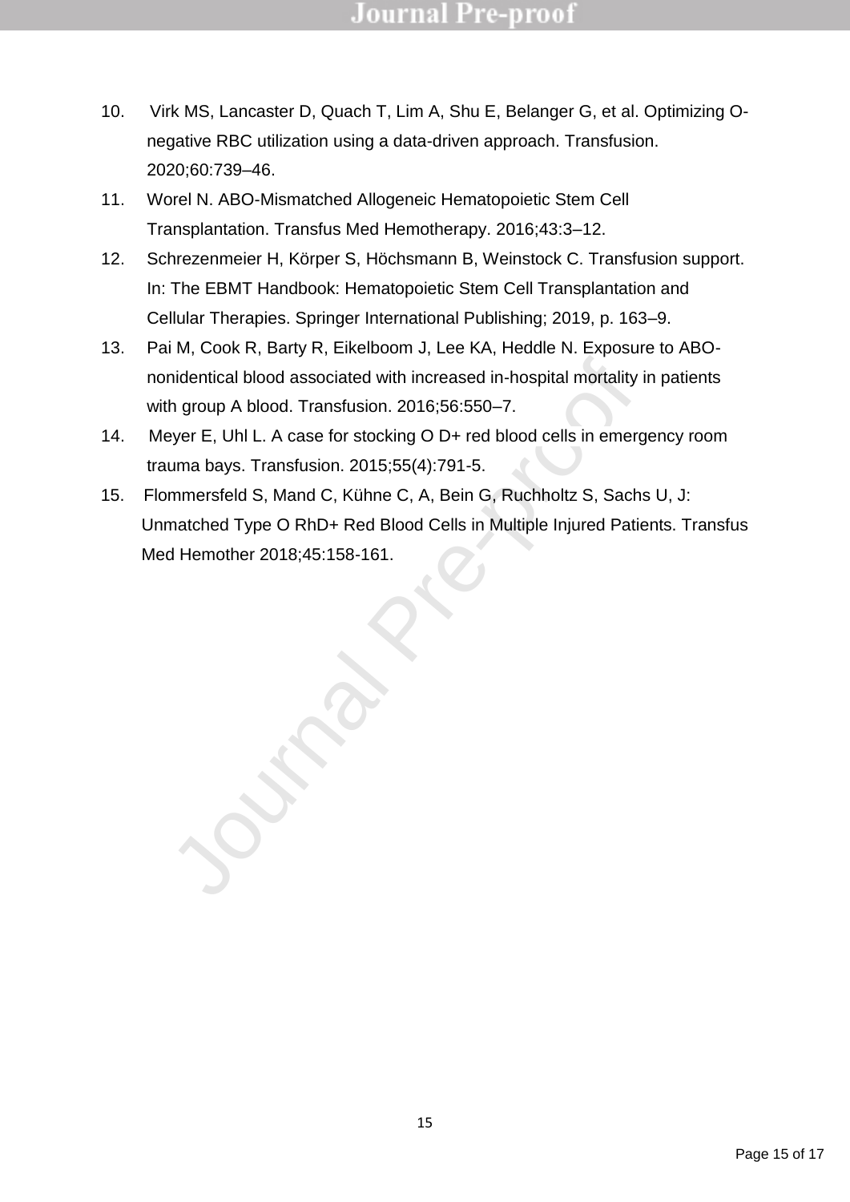- 10. Virk MS, Lancaster D, Quach T, Lim A, Shu E, Belanger G, et al. Optimizing Onegative RBC utilization using a data-driven approach. Transfusion. 2020;60:739–46.
- 11. Worel N. ABO-Mismatched Allogeneic Hematopoietic Stem Cell Transplantation. Transfus Med Hemotherapy. 2016;43:3–12.
- 12. Schrezenmeier H, Körper S, Höchsmann B, Weinstock C. Transfusion support. In: The EBMT Handbook: Hematopoietic Stem Cell Transplantation and Cellular Therapies. Springer International Publishing; 2019, p. 163–9.
- 13. Pai M, Cook R, Barty R, Eikelboom J, Lee KA, Heddle N. Exposure to ABOnonidentical blood associated with increased in-hospital mortality in patients with group A blood. Transfusion. 2016;56:550–7.
- 14. Meyer E, Uhl L. A case for stocking O D+ red blood cells in emergency room trauma bays. Transfusion. 2015;55(4):791-5.
- nidentical blood associated with increased in-hospital mortality is<br>
th group A blood. Transfusion. 2016;56:550–7.<br>
yer E, Uhl L. A case for stocking O D+ red blood cells in emerg<br>
uma bays. Transfusion. 2015;55(4):791-5.<br> 15. Flommersfeld S, Mand C, Kühne C, A, Bein G, Ruchholtz S, Sachs U, J: Unmatched Type O RhD+ Red Blood Cells in Multiple Injured Patients. Transfus Med Hemother 2018;45:158-161.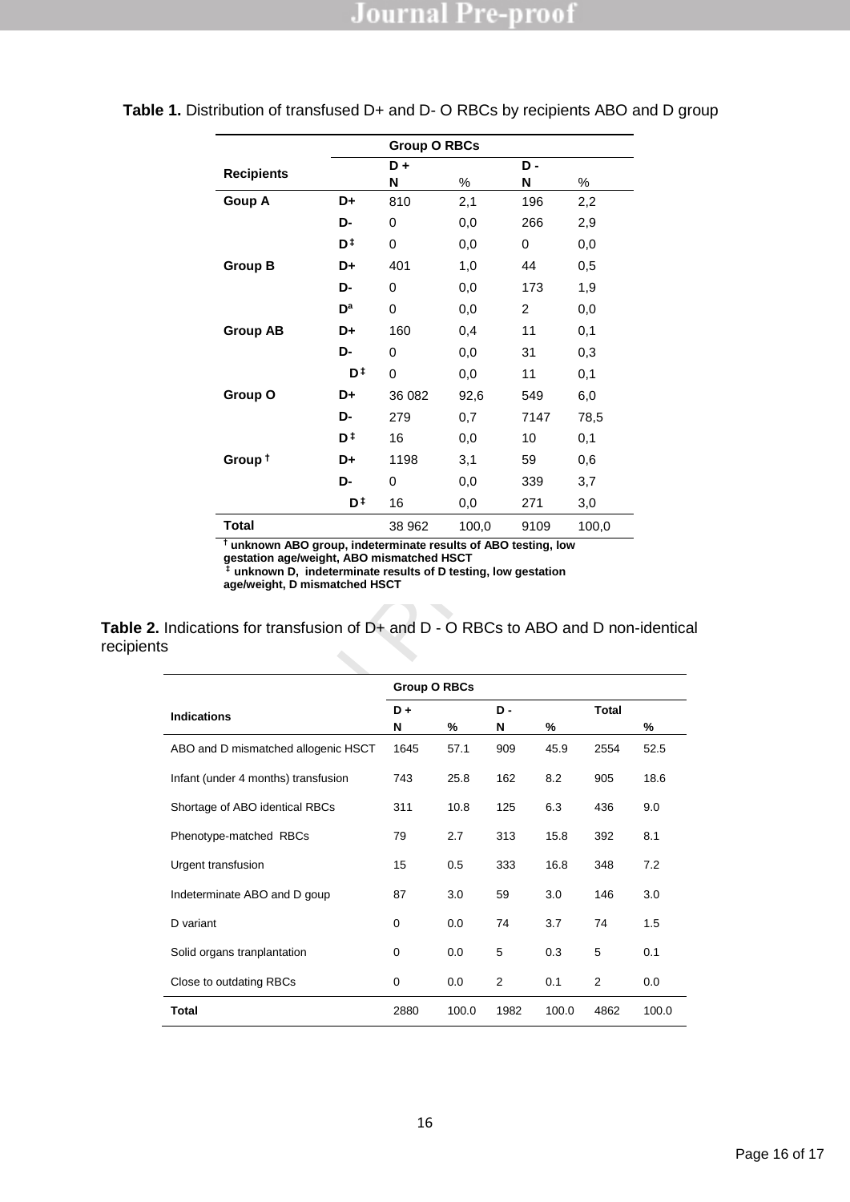|                    |                           | <b>Group O RBCs</b> |       |      |       |  |  |
|--------------------|---------------------------|---------------------|-------|------|-------|--|--|
| <b>Recipients</b>  |                           | D+                  |       | D-   |       |  |  |
|                    |                           | N                   | $\%$  | N    | ℅     |  |  |
| Goup A             | D+                        | 810                 | 2,1   | 196  | 2,2   |  |  |
|                    | D-                        | 0                   | 0,0   | 266  | 2,9   |  |  |
|                    | D‡                        | 0                   | 0,0   | 0    | 0,0   |  |  |
| <b>Group B</b>     | D+                        | 401                 | 1,0   | 44   | 0,5   |  |  |
|                    | D-                        | 0                   | 0,0   | 173  | 1,9   |  |  |
|                    | $\mathbf{D}^{\mathbf{a}}$ | 0                   | 0,0   | 2    | 0,0   |  |  |
| <b>Group AB</b>    | D+                        | 160                 | 0,4   | 11   | 0,1   |  |  |
|                    | D-                        | 0                   | 0,0   | 31   | 0,3   |  |  |
|                    | D‡                        | 0                   | 0,0   | 11   | 0,1   |  |  |
| Group O            | D+                        | 36 082              | 92,6  | 549  | 6,0   |  |  |
|                    | D-                        | 279                 | 0,7   | 7147 | 78,5  |  |  |
|                    | D ‡                       | 16                  | 0,0   | 10   | 0,1   |  |  |
| Group <sup>+</sup> | D+                        | 1198                | 3,1   | 59   | 0,6   |  |  |
|                    | D-                        | 0                   | 0,0   | 339  | 3,7   |  |  |
|                    | D <sup>‡</sup>            | 16                  | 0,0   | 271  | 3,0   |  |  |
| <b>Total</b>       |                           | 38 962              | 100,0 | 9109 | 100,0 |  |  |

#### **Table 1.** Distribution of transfused D+ and D- O RBCs by recipients ABO and D group

**Table 2.** Indications for transfusion of D+ and D - O RBCs to ABO and D non-identical recipients

|                                                                                                                                                                                                                                                                                           | D <sup>‡</sup> | 0                   | 0.0       | 11       |           | 0.1          |           |
|-------------------------------------------------------------------------------------------------------------------------------------------------------------------------------------------------------------------------------------------------------------------------------------------|----------------|---------------------|-----------|----------|-----------|--------------|-----------|
| Group O                                                                                                                                                                                                                                                                                   | D+             | 36 082              | 92,6      |          | 549       | 6,0          |           |
|                                                                                                                                                                                                                                                                                           | D-             | 279                 | 0,7       |          | 7147      | 78,5         |           |
|                                                                                                                                                                                                                                                                                           | D‡             | 16                  | 0,0       | 10       |           | 0,1          |           |
| Group <sup>+</sup>                                                                                                                                                                                                                                                                        | D+             | 1198                | 3,1       | 59       |           | 0,6          |           |
|                                                                                                                                                                                                                                                                                           | D-             | 0                   | 0,0       |          | 339       | 3,7          |           |
|                                                                                                                                                                                                                                                                                           | D‡             | 16                  | 0,0       |          | 271       | 3,0          |           |
| <b>Total</b>                                                                                                                                                                                                                                                                              |                | 38 962              | 100,0     |          | 9109      | 100,0        |           |
| Indications for transfusion of D+ and D - O RBCs to ABO and D non-identical                                                                                                                                                                                                               |                |                     |           |          |           |              |           |
|                                                                                                                                                                                                                                                                                           |                | <b>Group O RBCs</b> |           |          |           |              |           |
|                                                                                                                                                                                                                                                                                           |                |                     |           |          |           |              |           |
|                                                                                                                                                                                                                                                                                           |                | D+                  |           | D-       |           | <b>Total</b> |           |
|                                                                                                                                                                                                                                                                                           |                | N<br>1645           | %<br>57.1 | N<br>909 | %<br>45.9 | 2554         | %<br>52.5 |
|                                                                                                                                                                                                                                                                                           |                | 743                 | 25.8      | 162      | 8.2       | 905          | 18.6      |
|                                                                                                                                                                                                                                                                                           |                | 311                 | 10.8      | 125      | 6.3       | 436          | 9.0       |
|                                                                                                                                                                                                                                                                                           |                | 79                  | 2.7       | 313      | 15.8      | 392          | 8.1       |
|                                                                                                                                                                                                                                                                                           |                | 15                  | 0.5       | 333      | 16.8      | 348          | 7.2       |
|                                                                                                                                                                                                                                                                                           |                | 87                  | 3.0       | 59       | 3.0       | 146          | 3.0       |
|                                                                                                                                                                                                                                                                                           |                | 0                   | 0.0       | 74       | 3.7       | 74           | 1.5       |
|                                                                                                                                                                                                                                                                                           |                | 0                   | 0.0       | 5        | 0.3       | 5            | 0.1       |
| <b>Indications</b><br>ABO and D mismatched allogenic HSCT<br>Infant (under 4 months) transfusion<br>Shortage of ABO identical RBCs<br>Phenotype-matched RBCs<br>Urgent transfusion<br>Indeterminate ABO and D goup<br>D variant<br>Solid organs tranplantation<br>Close to outdating RBCs |                | 0                   | 0.0       | 2        | 0.1       | 2            | 0.0       |

l,